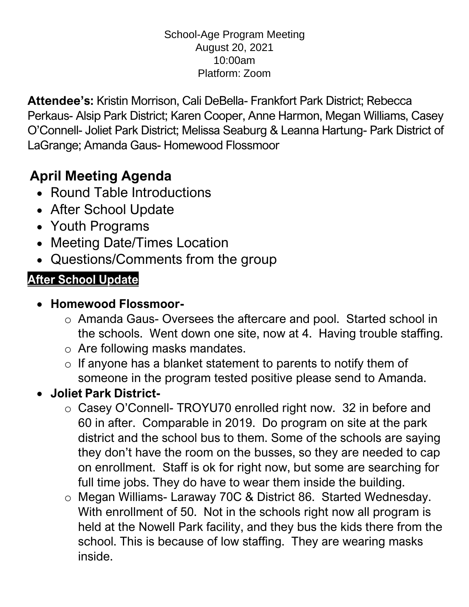#### School-Age Program Meeting August 20, 2021 10:00am Platform: Zoom

**Attendee's:** Kristin Morrison, Cali DeBella- Frankfort Park District; Rebecca Perkaus- Alsip Park District; Karen Cooper, Anne Harmon, Megan Williams, Casey O'Connell- Joliet Park District; Melissa Seaburg & Leanna Hartung- Park District of LaGrange; Amanda Gaus- Homewood Flossmoor

## **April Meeting Agenda**

- Round Table Introductions
- After School Update
- Youth Programs
- Meeting Date/Times Location
- Questions/Comments from the group

### **After School Update**

- **Homewood Flossmoor**
	- o Amanda Gaus- Oversees the aftercare and pool. Started school in the schools. Went down one site, now at 4. Having trouble staffing.
	- o Are following masks mandates.
	- $\circ$  If anyone has a blanket statement to parents to notify them of someone in the program tested positive please send to Amanda.

#### • **Joliet Park District-**

- o Casey O'Connell- TROYU70 enrolled right now. 32 in before and 60 in after. Comparable in 2019. Do program on site at the park district and the school bus to them. Some of the schools are saying they don't have the room on the busses, so they are needed to cap on enrollment. Staff is ok for right now, but some are searching for full time jobs. They do have to wear them inside the building.
- o Megan Williams- Laraway 70C & District 86. Started Wednesday. With enrollment of 50. Not in the schools right now all program is held at the Nowell Park facility, and they bus the kids there from the school. This is because of low staffing. They are wearing masks inside.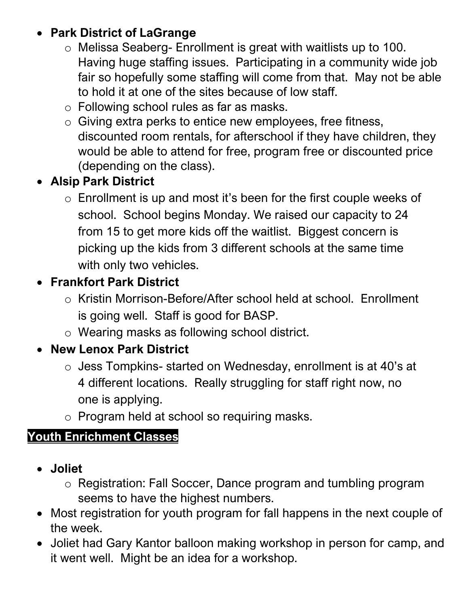#### • **Park District of LaGrange**

- o Melissa Seaberg- Enrollment is great with waitlists up to 100. Having huge staffing issues. Participating in a community wide job fair so hopefully some staffing will come from that. May not be able to hold it at one of the sites because of low staff.
- o Following school rules as far as masks.
- o Giving extra perks to entice new employees, free fitness, discounted room rentals, for afterschool if they have children, they would be able to attend for free, program free or discounted price (depending on the class).

#### • **Alsip Park District**

o Enrollment is up and most it's been for the first couple weeks of school. School begins Monday. We raised our capacity to 24 from 15 to get more kids off the waitlist. Biggest concern is picking up the kids from 3 different schools at the same time with only two vehicles.

#### • **Frankfort Park District**

- o Kristin Morrison-Before/After school held at school. Enrollment is going well. Staff is good for BASP.
- o Wearing masks as following school district.

#### • **New Lenox Park District**

- o Jess Tompkins- started on Wednesday, enrollment is at 40's at 4 different locations. Really struggling for staff right now, no one is applying.
- o Program held at school so requiring masks.

#### **Youth Enrichment Classes**

- **Joliet**
	- o Registration: Fall Soccer, Dance program and tumbling program seems to have the highest numbers.
- Most registration for youth program for fall happens in the next couple of the week.
- Joliet had Gary Kantor balloon making workshop in person for camp, and it went well. Might be an idea for a workshop.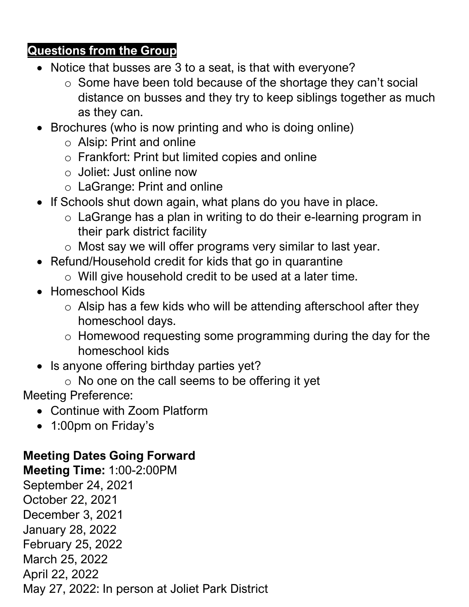#### **Questions from the Group**

- Notice that busses are 3 to a seat, is that with everyone?
	- o Some have been told because of the shortage they can't social distance on busses and they try to keep siblings together as much as they can.
- Brochures (who is now printing and who is doing online)
	- o Alsip: Print and online
	- o Frankfort: Print but limited copies and online
	- o Joliet: Just online now
	- o LaGrange: Print and online
- If Schools shut down again, what plans do you have in place.
	- o LaGrange has a plan in writing to do their e-learning program in their park district facility
	- o Most say we will offer programs very similar to last year.
- Refund/Household credit for kids that go in quarantine
	- o Will give household credit to be used at a later time.
- Homeschool Kids
	- $\circ$  Alsip has a few kids who will be attending afterschool after they homeschool days.
	- o Homewood requesting some programming during the day for the homeschool kids
- Is anyone offering birthday parties yet?
	- $\circ$  No one on the call seems to be offering it yet

Meeting Preference:

- Continue with Zoom Platform
- 1:00pm on Friday's

#### **Meeting Dates Going Forward**

**Meeting Time:** 1:00-2:00PM September 24, 2021 October 22, 2021 December 3, 2021 January 28, 2022 February 25, 2022 March 25, 2022 April 22, 2022 May 27, 2022: In person at Joliet Park District